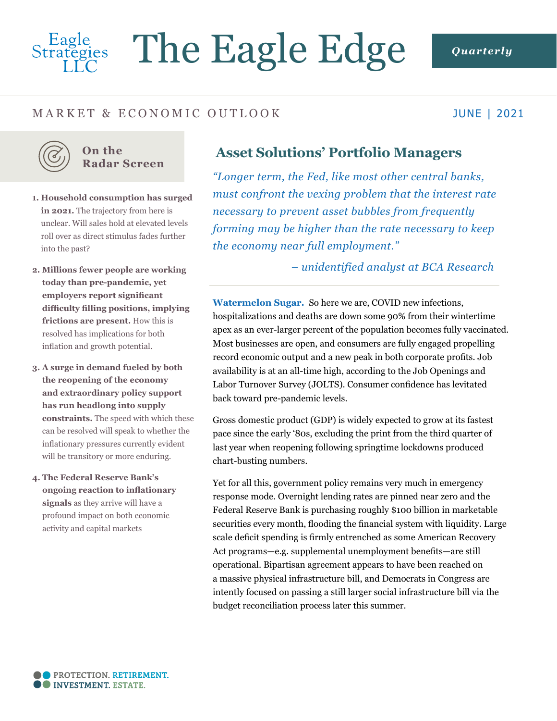# Eagle<br>Strategies The Eagle Edge *Quarterly*

# MARKET & ECONOMIC OUTLOOK

### JUNE | 2021



#### **On the Radar Screen**

- **1. Household consumption has surged**  in 2021. The trajectory from here is unclear. Will sales hold at elevated levels roll over as direct stimulus fades further into the past?
- **2. Millions fewer people are working today than pre-pandemic, yet employers report significant difficulty filling positions, implying frictions are present.** How this is resolved has implications for both inflation and growth potential.
- **3. A surge in demand fueled by both the reopening of the economy and extraordinary policy support has run headlong into supply constraints.** The speed with which these can be resolved will speak to whether the inflationary pressures currently evident will be transitory or more enduring.
- **4. The Federal Reserve Bank's ongoing reaction to inflationary signals** as they arrive will have a profound impact on both economic activity and capital markets

# **Asset Solutions' Portfolio Managers**

*"Longer term, the Fed, like most other central banks, must confront the vexing problem that the interest rate necessary to prevent asset bubbles from frequently forming may be higher than the rate necessary to keep the economy near full employment."* 

*– unidentified analyst at BCA Research* 

**Watermelon Sugar.** So here we are, COVID new infections, hospitalizations and deaths are down some 90% from their wintertime apex as an ever-larger percent of the population becomes fully vaccinated. Most businesses are open, and consumers are fully engaged propelling record economic output and a new peak in both corporate profits. Job availability is at an all-time high, according to the Job Openings and Labor Turnover Survey (JOLTS). Consumer confidence has levitated back toward pre-pandemic levels.

Gross domestic product (GDP) is widely expected to grow at its fastest pace since the early '80s, excluding the print from the third quarter of last year when reopening following springtime lockdowns produced chart-busting numbers.

Yet for all this, government policy remains very much in emergency response mode. Overnight lending rates are pinned near zero and the Federal Reserve Bank is purchasing roughly \$100 billion in marketable securities every month, flooding the financial system with liquidity. Large scale deficit spending is firmly entrenched as some American Recovery Act programs—e.g. supplemental unemployment benefits—are still operational. Bipartisan agreement appears to have been reached on a massive physical infrastructure bill, and Democrats in Congress are intently focused on passing a still larger social infrastructure bill via the budget reconciliation process later this summer.

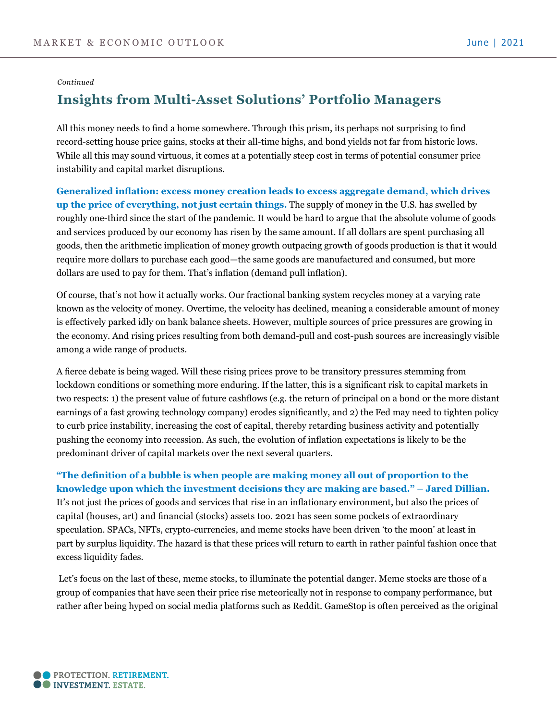#### *Continued*

## **Insights from Multi-Asset Solutions' Portfolio Managers**

All this money needs to find a home somewhere. Through this prism, its perhaps not surprising to find record-setting house price gains, stocks at their all-time highs, and bond yields not far from historic lows. While all this may sound virtuous, it comes at a potentially steep cost in terms of potential consumer price instability and capital market disruptions.

**Generalized inflation: excess money creation leads to excess aggregate demand, which drives up the price of everything, not just certain things.** The supply of money in the U.S. has swelled by roughly one-third since the start of the pandemic. It would be hard to argue that the absolute volume of goods and services produced by our economy has risen by the same amount. If all dollars are spent purchasing all goods, then the arithmetic implication of money growth outpacing growth of goods production is that it would require more dollars to purchase each good—the same goods are manufactured and consumed, but more dollars are used to pay for them. That's inflation (demand pull inflation).

Of course, that's not how it actually works. Our fractional banking system recycles money at a varying rate known as the velocity of money. Overtime, the velocity has declined, meaning a considerable amount of money is effectively parked idly on bank balance sheets. However, multiple sources of price pressures are growing in the economy. And rising prices resulting from both demand-pull and cost-push sources are increasingly visible among a wide range of products.

A fierce debate is being waged. Will these rising prices prove to be transitory pressures stemming from lockdown conditions or something more enduring. If the latter, this is a significant risk to capital markets in two respects: 1) the present value of future cashflows (e.g. the return of principal on a bond or the more distant earnings of a fast growing technology company) erodes significantly, and 2) the Fed may need to tighten policy to curb price instability, increasing the cost of capital, thereby retarding business activity and potentially pushing the economy into recession. As such, the evolution of inflation expectations is likely to be the predominant driver of capital markets over the next several quarters.

## **"The definition of a bubble is when people are making money all out of proportion to the knowledge upon which the investment decisions they are making are based." – Jared Dillian.**  It's not just the prices of goods and services that rise in an inflationary environment, but also the prices of capital (houses, art) and financial (stocks) assets too. 2021 has seen some pockets of extraordinary speculation. SPACs, NFTs, crypto-currencies, and meme stocks have been driven 'to the moon' at least in part by surplus liquidity. The hazard is that these prices will return to earth in rather painful fashion once that excess liquidity fades.

 Let's focus on the last of these, meme stocks, to illuminate the potential danger. Meme stocks are those of a group of companies that have seen their price rise meteorically not in response to company performance, but rather after being hyped on social media platforms such as Reddit. GameStop is often perceived as the original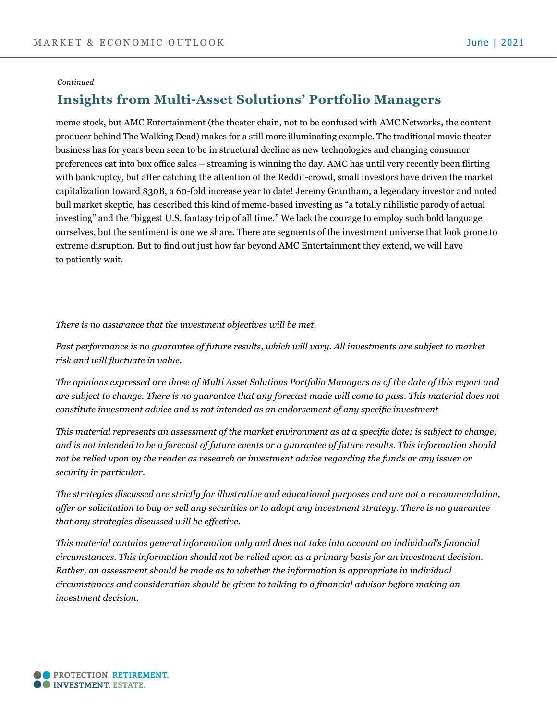#### *Continued*

# **Insights from Multi-Asset Solutions' Portfolio Managers**

meme stock, but AMC Entertainment (the theater chain, not to be confused with AMC Networks, the content producer behind The Walking Dead) makes for a still more illuminating example. The traditional movie theater business has for years been seen to be in structural decline as new technologies and changing consumer preferences eat into box office sales – streaming is winning the day. AMC has until very recently been flirting with bankruptcy, but after catching the attention of the Reddit-crowd, small investors have driven the market capitalization toward \$30B, a 60-fold increase year to date! Jeremy Grantham, a legendary investor and noted bull market skeptic, has described this kind of meme-based investing as "a totally nihilistic parody of actual investing" and the "biggest U.S. fantasy trip of all time." We lack the courage to employ such bold language ourselves, but the sentiment is one we share. There are segments of the investment universe that look prone to extreme disruption. But to find out just how far beyond AMC Entertainment they extend, we will have to patiently wait.

*There is no assurance that the investment objectives will be met.*

*Past performance is no guarantee of future results, which will vary. All investments are subject to market risk and will fluctuate in value.* 

*The opinions expressed are those of Multi Asset Solutions Portfolio Managers as of the date of this report and are subject to change. There is no guarantee that any forecast made will come to pass. This material does not constitute investment advice and is not intended as an endorsement of any specific investment*

*This material represents an assessment of the market environment as at a specific date; is subject to change; and is not intended to be a forecast of future events or a guarantee of future results. This information should not be relied upon by the reader as research or investment advice regarding the funds or any issuer or security in particular.*

*The strategies discussed are strictly for illustrative and educational purposes and are not a recommendation, offer or solicitation to buy or sell any securities or to adopt any investment strategy. There is no guarantee that any strategies discussed will be effective.*

*This material contains general information only and does not take into account an individual's financial circumstances. This information should not be relied upon as a primary basis for an investment decision. Rather, an assessment should be made as to whether the information is appropriate in individual circumstances and consideration should be given to talking to a financial advisor before making an investment decision.*